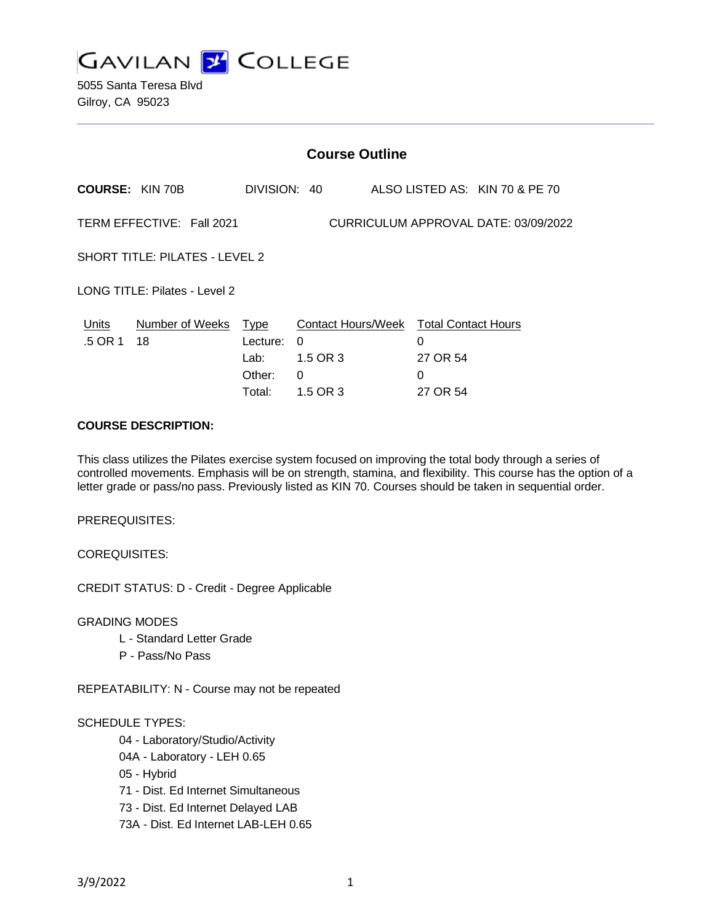

|                                | <b>Course Outline</b>      |                            |                                                              |  |                                      |  |  |
|--------------------------------|----------------------------|----------------------------|--------------------------------------------------------------|--|--------------------------------------|--|--|
|                                | <b>COURSE: KIN 70B</b>     | DIVISION: 40               |                                                              |  | ALSO LISTED AS: KIN 70 & PE 70       |  |  |
|                                | TERM EFFECTIVE: Fall 2021  |                            |                                                              |  | CURRICULUM APPROVAL DATE: 03/09/2022 |  |  |
| SHORT TITLE: PILATES - LEVEL 2 |                            |                            |                                                              |  |                                      |  |  |
| LONG TITLE: Pilates - Level 2  |                            |                            |                                                              |  |                                      |  |  |
| Units<br>.5 OR 1               | Number of Weeks Type<br>18 | Lecture:<br>Lab:<br>Other: | Contact Hours/Week Total Contact Hours<br>0<br>1.5 OR 3<br>0 |  | 0<br>27 OR 54<br>0                   |  |  |
|                                |                            | Total:                     | 1.5 OR 3                                                     |  | 27 OR 54                             |  |  |

#### **COURSE DESCRIPTION:**

This class utilizes the Pilates exercise system focused on improving the total body through a series of controlled movements. Emphasis will be on strength, stamina, and flexibility. This course has the option of a letter grade or pass/no pass. Previously listed as KIN 70. Courses should be taken in sequential order.

PREREQUISITES:

COREQUISITES:

CREDIT STATUS: D - Credit - Degree Applicable

GRADING MODES

- L Standard Letter Grade
- P Pass/No Pass

REPEATABILITY: N - Course may not be repeated

#### SCHEDULE TYPES:

04 - Laboratory/Studio/Activity

- 04A Laboratory LEH 0.65
- 05 Hybrid
- 71 Dist. Ed Internet Simultaneous
- 73 Dist. Ed Internet Delayed LAB
- 73A Dist. Ed Internet LAB-LEH 0.65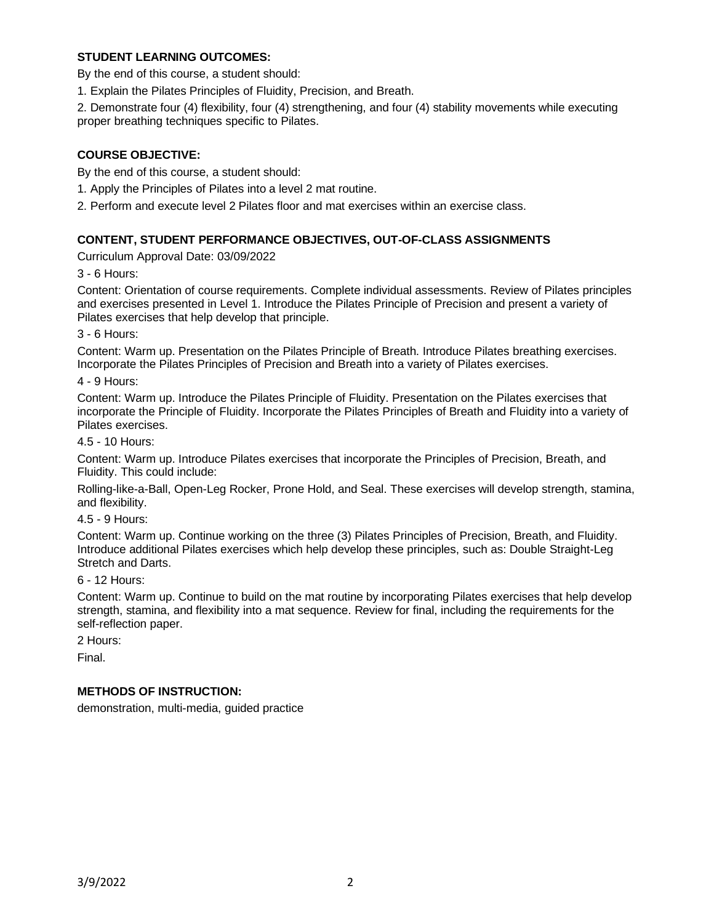### **STUDENT LEARNING OUTCOMES:**

By the end of this course, a student should:

1. Explain the Pilates Principles of Fluidity, Precision, and Breath.

2. Demonstrate four (4) flexibility, four (4) strengthening, and four (4) stability movements while executing proper breathing techniques specific to Pilates.

# **COURSE OBJECTIVE:**

By the end of this course, a student should:

1. Apply the Principles of Pilates into a level 2 mat routine.

2. Perform and execute level 2 Pilates floor and mat exercises within an exercise class.

#### **CONTENT, STUDENT PERFORMANCE OBJECTIVES, OUT-OF-CLASS ASSIGNMENTS**

Curriculum Approval Date: 03/09/2022

3 - 6 Hours:

Content: Orientation of course requirements. Complete individual assessments. Review of Pilates principles and exercises presented in Level 1. Introduce the Pilates Principle of Precision and present a variety of Pilates exercises that help develop that principle.

3 - 6 Hours:

Content: Warm up. Presentation on the Pilates Principle of Breath. Introduce Pilates breathing exercises. Incorporate the Pilates Principles of Precision and Breath into a variety of Pilates exercises.

4 - 9 Hours:

Content: Warm up. Introduce the Pilates Principle of Fluidity. Presentation on the Pilates exercises that incorporate the Principle of Fluidity. Incorporate the Pilates Principles of Breath and Fluidity into a variety of Pilates exercises.

4.5 - 10 Hours:

Content: Warm up. Introduce Pilates exercises that incorporate the Principles of Precision, Breath, and Fluidity. This could include:

Rolling-like-a-Ball, Open-Leg Rocker, Prone Hold, and Seal. These exercises will develop strength, stamina, and flexibility.

4.5 - 9 Hours:

Content: Warm up. Continue working on the three (3) Pilates Principles of Precision, Breath, and Fluidity. Introduce additional Pilates exercises which help develop these principles, such as: Double Straight-Leg Stretch and Darts.

6 - 12 Hours:

Content: Warm up. Continue to build on the mat routine by incorporating Pilates exercises that help develop strength, stamina, and flexibility into a mat sequence. Review for final, including the requirements for the self-reflection paper.

2 Hours:

Final.

#### **METHODS OF INSTRUCTION:**

demonstration, multi-media, guided practice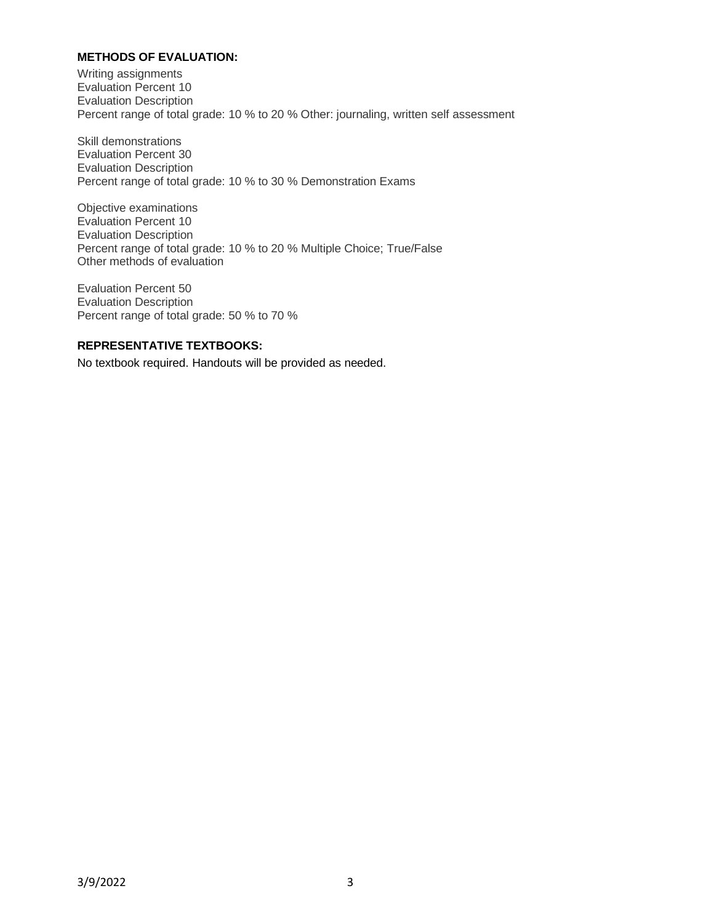### **METHODS OF EVALUATION:**

Writing assignments Evaluation Percent 10 Evaluation Description Percent range of total grade: 10 % to 20 % Other: journaling, written self assessment

Skill demonstrations Evaluation Percent 30 Evaluation Description Percent range of total grade: 10 % to 30 % Demonstration Exams

Objective examinations Evaluation Percent 10 Evaluation Description Percent range of total grade: 10 % to 20 % Multiple Choice; True/False Other methods of evaluation

Evaluation Percent 50 Evaluation Description Percent range of total grade: 50 % to 70 %

#### **REPRESENTATIVE TEXTBOOKS:**

No textbook required. Handouts will be provided as needed.